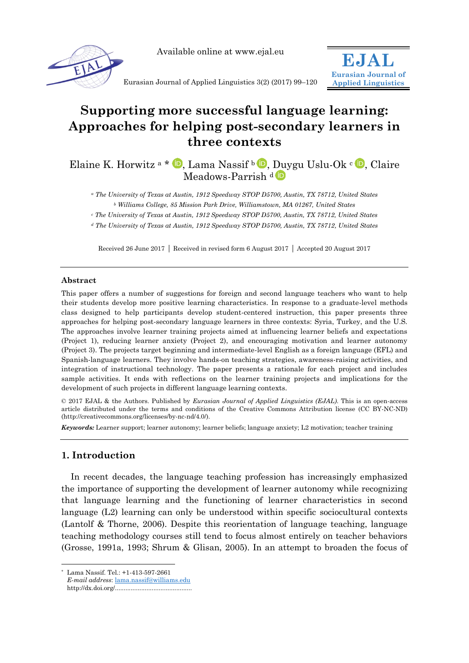

Available online at www.ejal.eu



Eurasian Journal of Applied Linguistics 3(2) (2017) 99–120

# **Supporting more successful language learning: Approaches for helping post-secondary learners in three contexts**

Elaine K. Horwitz a \*  $\mathbb{D}$ [,](http://orcid.org/0000-0002-3858-9821) Lama Nassif b  $\mathbb{D}$ , Duygu Uslu-Ok c  $\mathbb{D}$ , Claire Meadows-Parrish d<sup>D</sup>

*<sup>a</sup> The University of Texas at Austin, 1912 Speedway STOP D5700, Austin, TX 78712, United States <sup>b</sup> Williams College, 85 Mission Park Drive, Williamstown, MA 01267, United States*

*<sup>c</sup> The University of Texas at Austin, 1912 Speedway STOP D5700, Austin, TX 78712, United States*

*<sup>d</sup> The University of Texas at Austin, 1912 Speedway STOP D5700, Austin, TX 78712, United States*

Received 26 June 2017 | Received in revised form 6 August 2017 | Accepted 20 August 2017

#### **Abstract**

This paper offers a number of suggestions for foreign and second language teachers who want to help their students develop more positive learning characteristics. In response to a graduate-level methods class designed to help participants develop student-centered instruction, this paper presents three approaches for helping post-secondary language learners in three contexts: Syria, Turkey, and the U.S. The approaches involve learner training projects aimed at influencing learner beliefs and expectations (Project 1), reducing learner anxiety (Project 2), and encouraging motivation and learner autonomy (Project 3). The projects target beginning and intermediate-level English as a foreign language (EFL) and Spanish-language learners. They involve hands-on teaching strategies, awareness-raising activities, and integration of instructional technology. The paper presents a rationale for each project and includes sample activities. It ends with reflections on the learner training projects and implications for the development of such projects in different language learning contexts.

© 2017 EJAL & the Authors. Published by *Eurasian Journal of Applied Linguistics (EJAL)*. This is an open-access article distributed under the terms and conditions of the Creative Commons Attribution license (CC BY-NC-ND) (http://creativecommons.org/licenses/by-nc-nd/4.0/).

*Keywords:* Learner support; learner autonomy; learner beliefs; language anxiety; L2 motivation; teacher training

## **1. Introduction**

In recent decades, the language teaching profession has increasingly emphasized the importance of supporting the development of learner autonomy while recognizing that language learning and the functioning of learner characteristics in second language (L2) learning can only be understood within specific sociocultural contexts (Lantolf & Thorne, 2006). Despite this reorientation of language teaching, language teaching methodology courses still tend to focus almost entirely on teacher behaviors (Grosse, 1991a, 1993; Shrum & Glisan, 2005). In an attempt to broaden the focus of

-

<sup>\*</sup> Lama Nassif. Tel.: +1-413-597-2661

*E-mail address*: [lama.nassif@williams.edu](mailto:lama.nassif@williams.edu)

http://dx.doi.org/............................................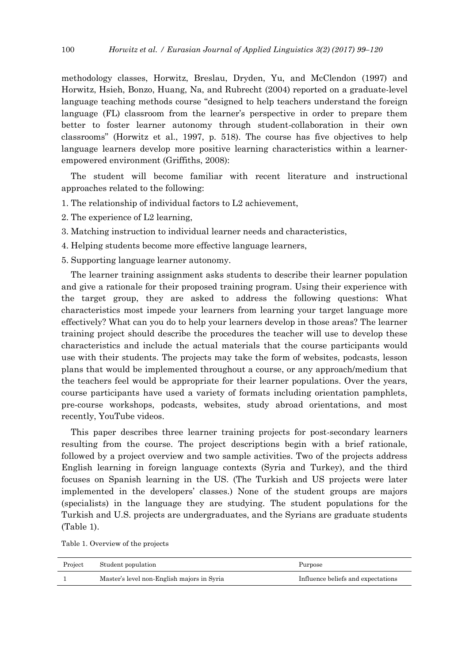methodology classes, Horwitz, Breslau, Dryden, Yu, and McClendon (1997) and Horwitz, Hsieh, Bonzo, Huang, Na, and Rubrecht (2004) reported on a graduate-level language teaching methods course "designed to help teachers understand the foreign language (FL) classroom from the learner's perspective in order to prepare them better to foster learner autonomy through student-collaboration in their own classrooms‖ (Horwitz et al., 1997, p. 518). The course has five objectives to help language learners develop more positive learning characteristics within a learnerempowered environment (Griffiths, 2008):

The student will become familiar with recent literature and instructional approaches related to the following:

- 1. The relationship of individual factors to L2 achievement,
- 2. The experience of L2 learning,
- 3. Matching instruction to individual learner needs and characteristics,
- 4. Helping students become more effective language learners,
- 5. Supporting language learner autonomy.

The learner training assignment asks students to describe their learner population and give a rationale for their proposed training program. Using their experience with the target group, they are asked to address the following questions: What characteristics most impede your learners from learning your target language more effectively? What can you do to help your learners develop in those areas? The learner training project should describe the procedures the teacher will use to develop these characteristics and include the actual materials that the course participants would use with their students. The projects may take the form of websites, podcasts, lesson plans that would be implemented throughout a course, or any approach/medium that the teachers feel would be appropriate for their learner populations. Over the years, course participants have used a variety of formats including orientation pamphlets, pre-course workshops, podcasts, websites, study abroad orientations, and most recently, YouTube videos.

This paper describes three learner training projects for post-secondary learners resulting from the course. The project descriptions begin with a brief rationale, followed by a project overview and two sample activities. Two of the projects address English learning in foreign language contexts (Syria and Turkey), and the third focuses on Spanish learning in the US. (The Turkish and US projects were later implemented in the developers' classes.) None of the student groups are majors (specialists) in the language they are studying. The student populations for the Turkish and U.S. projects are undergraduates, and the Syrians are graduate students (Table 1).

|  | Table 1. Overview of the projects |  |  |
|--|-----------------------------------|--|--|
|--|-----------------------------------|--|--|

| Project | Student population                         | Purpose                            |
|---------|--------------------------------------------|------------------------------------|
|         | Master's level non-English majors in Syria | Influence beliefs and expectations |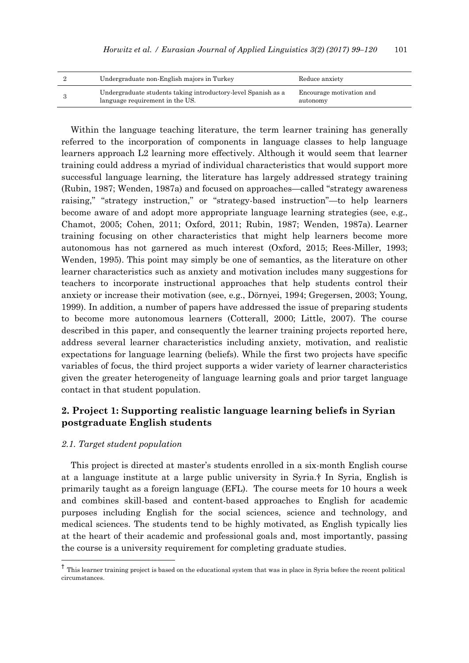| Undergraduate non-English majors in Turkey                                                       | Reduce anxiety                       |
|--------------------------------------------------------------------------------------------------|--------------------------------------|
| Undergraduate students taking introductory-level Spanish as a<br>language requirement in the US. | Encourage motivation and<br>autonomy |

Within the language teaching literature, the term learner training has generally referred to the incorporation of components in language classes to help language learners approach L2 learning more effectively. Although it would seem that learner training could address a myriad of individual characteristics that would support more successful language learning, the literature has largely addressed strategy training (Rubin, 1987; Wenden, 1987a) and focused on approaches—called "strategy awareness" raising," "strategy instruction," or "strategy-based instruction"—to help learners become aware of and adopt more appropriate language learning strategies (see, e.g., Chamot, 2005; Cohen, 2011; Oxford, 2011; Rubin, 1987; Wenden, 1987a). Learner training focusing on other characteristics that might help learners become more autonomous has not garnered as much interest (Oxford, 2015; Rees-Miller, 1993; Wenden, 1995). This point may simply be one of semantics, as the literature on other learner characteristics such as anxiety and motivation includes many suggestions for teachers to incorporate instructional approaches that help students control their anxiety or increase their motivation (see, e.g., Dörnyei, 1994; Gregersen, 2003; Young, 1999). In addition, a number of papers have addressed the issue of preparing students to become more autonomous learners (Cotterall, 2000; Little, 2007). The course described in this paper, and consequently the learner training projects reported here, address several learner characteristics including anxiety, motivation, and realistic expectations for language learning (beliefs). While the first two projects have specific variables of focus, the third project supports a wider variety of learner characteristics given the greater heterogeneity of language learning goals and prior target language contact in that student population.

## **2. Project 1: Supporting realistic language learning beliefs in Syrian postgraduate English students**

## *2.1. Target student population*

 $\overline{a}$ 

This project is directed at master's students enrolled in a six-month English course at a language institute at a large public university in Syria.† In Syria, English is primarily taught as a foreign language (EFL). The course meets for 10 hours a week and combines skill-based and content-based approaches to English for academic purposes including English for the social sciences, science and technology, and medical sciences. The students tend to be highly motivated, as English typically lies at the heart of their academic and professional goals and, most importantly, passing the course is a university requirement for completing graduate studies.

<sup>&</sup>lt;sup>†</sup> This learner training project is based on the educational system that was in place in Syria before the recent political circumstances.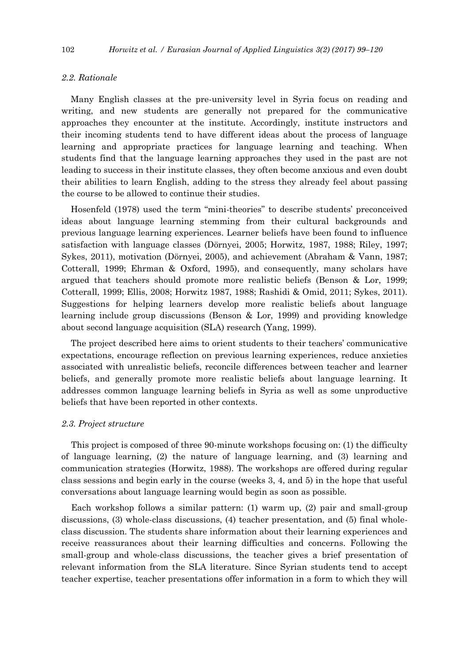## *2.2. Rationale*

Many English classes at the pre-university level in Syria focus on reading and writing, and new students are generally not prepared for the communicative approaches they encounter at the institute. Accordingly, institute instructors and their incoming students tend to have different ideas about the process of language learning and appropriate practices for language learning and teaching. When students find that the language learning approaches they used in the past are not leading to success in their institute classes, they often become anxious and even doubt their abilities to learn English, adding to the stress they already feel about passing the course to be allowed to continue their studies.

Hosenfeld (1978) used the term "mini-theories" to describe students' preconceived ideas about language learning stemming from their cultural backgrounds and previous language learning experiences. Learner beliefs have been found to influence satisfaction with language classes (Dörnyei, 2005; Horwitz, 1987, 1988; Riley, 1997; Sykes, 2011), motivation (Dörnyei, 2005), and achievement (Abraham & Vann, 1987; Cotterall, 1999; Ehrman & Oxford, 1995), and consequently, many scholars have argued that teachers should promote more realistic beliefs (Benson & Lor, 1999; Cotterall, 1999; Ellis, 2008; Horwitz 1987, 1988; Rashidi & Omid, 2011; Sykes, 2011). Suggestions for helping learners develop more realistic beliefs about language learning include group discussions (Benson & Lor, 1999) and providing knowledge about second language acquisition (SLA) research (Yang, 1999).

The project described here aims to orient students to their teachers' communicative expectations, encourage reflection on previous learning experiences, reduce anxieties associated with unrealistic beliefs, reconcile differences between teacher and learner beliefs, and generally promote more realistic beliefs about language learning. It addresses common language learning beliefs in Syria as well as some unproductive beliefs that have been reported in other contexts.

#### *2.3. Project structure*

This project is composed of three 90-minute workshops focusing on: (1) the difficulty of language learning, (2) the nature of language learning, and (3) learning and communication strategies (Horwitz, 1988). The workshops are offered during regular class sessions and begin early in the course (weeks 3, 4, and 5) in the hope that useful conversations about language learning would begin as soon as possible.

Each workshop follows a similar pattern: (1) warm up, (2) pair and small-group discussions, (3) whole-class discussions, (4) teacher presentation, and (5) final wholeclass discussion. The students share information about their learning experiences and receive reassurances about their learning difficulties and concerns. Following the small-group and whole-class discussions, the teacher gives a brief presentation of relevant information from the SLA literature. Since Syrian students tend to accept teacher expertise, teacher presentations offer information in a form to which they will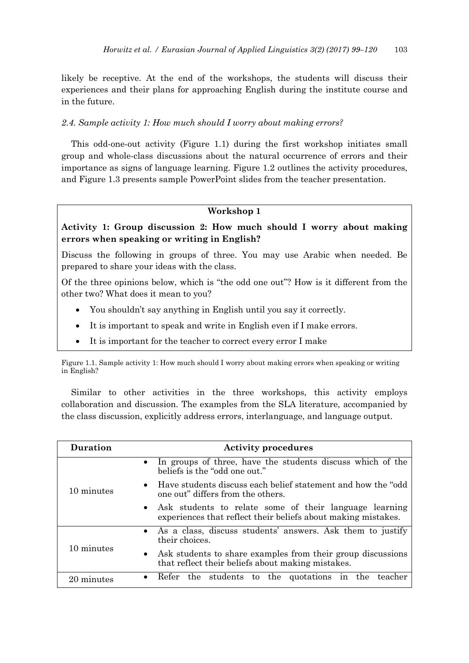likely be receptive. At the end of the workshops, the students will discuss their experiences and their plans for approaching English during the institute course and in the future.

## *2.4. Sample activity 1: How much should I worry about making errors?*

This odd-one-out activity (Figure 1.1) during the first workshop initiates small group and whole-class discussions about the natural occurrence of errors and their importance as signs of language learning. Figure 1.2 outlines the activity procedures, and Figure 1.3 presents sample PowerPoint slides from the teacher presentation.

## **Workshop 1**

# **Activity 1: Group discussion 2: How much should I worry about making errors when speaking or writing in English?**

Discuss the following in groups of three. You may use Arabic when needed. Be prepared to share your ideas with the class.

Of the three opinions below, which is "the odd one out"? How is it different from the other two? What does it mean to you?

- You shouldn't say anything in English until you say it correctly.
- It is important to speak and write in English even if I make errors.
- It is important for the teacher to correct every error I make

Similar to other activities in the three workshops, this activity employs collaboration and discussion. The examples from the SLA literature, accompanied by the class discussion, explicitly address errors, interlanguage, and language output.

| <b>Duration</b> | <b>Activity procedures</b>                                                                                                |  |
|-----------------|---------------------------------------------------------------------------------------------------------------------------|--|
| 10 minutes      | • In groups of three, have the students discuss which of the<br>beliefs is the "odd one out."                             |  |
|                 | • Have students discuss each belief statement and how the "odd"<br>one out" differs from the others.                      |  |
|                 | • Ask students to relate some of their language learning<br>experiences that reflect their beliefs about making mistakes. |  |
| 10 minutes      | • As a class, discuss students' answers. Ask them to justify<br>their choices.                                            |  |
|                 | • Ask students to share examples from their group discussions<br>that reflect their beliefs about making mistakes.        |  |
| 20 minutes      | the students to the quotations<br>Refer<br>the<br>1n<br>$\bullet$<br>teacher                                              |  |

Figure 1.1. Sample activity 1: How much should I worry about making errors when speaking or writing in English?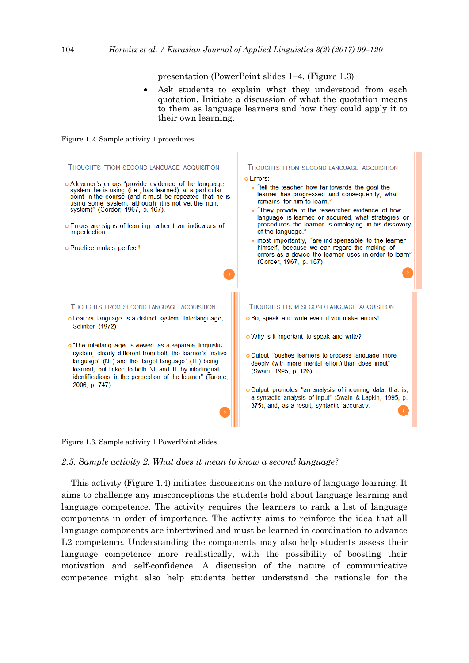

Figure 1.3. Sample activity 1 PowerPoint slides

*2.5. Sample activity 2: What does it mean to know a second language?*

This activity (Figure 1.4) initiates discussions on the nature of language learning. It aims to challenge any misconceptions the students hold about language learning and language competence. The activity requires the learners to rank a list of language components in order of importance. The activity aims to reinforce the idea that all language components are intertwined and must be learned in coordination to advance L2 competence. Understanding the components may also help students assess their language competence more realistically, with the possibility of boosting their motivation and self-confidence. A discussion of the nature of communicative competence might also help students better understand the rationale for the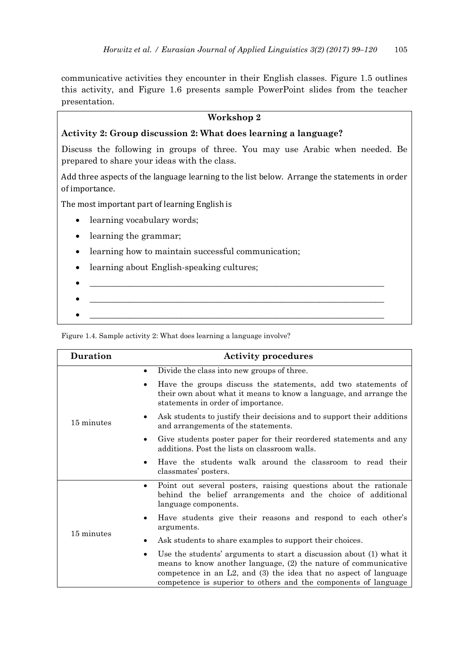communicative activities they encounter in their English classes. Figure 1.5 outlines this activity, and Figure 1.6 presents sample PowerPoint slides from the teacher presentation.

## **Workshop 2**

## **Activity 2: Group discussion 2: What does learning a language?**

Discuss the following in groups of three. You may use Arabic when needed. Be prepared to share your ideas with the class.

Add three aspects of the language learning to the list below. Arrange the statements in order of importance.

The most important part of learning English is

- learning vocabulary words;
- learning the grammar;
- learning how to maintain successful communication;
- learning about English-speaking cultures;
- \_\_\_\_\_\_\_\_\_\_\_\_\_\_\_\_\_\_\_\_\_\_\_\_\_\_\_\_\_\_\_\_\_\_\_\_\_\_\_\_\_\_\_\_\_\_\_\_\_\_\_\_\_\_\_\_\_\_\_\_\_\_\_\_\_\_\_\_ \_\_\_\_\_\_\_\_\_\_\_\_\_\_\_\_\_\_\_\_\_\_\_\_\_\_\_\_\_\_\_\_\_\_\_\_\_\_\_\_\_\_\_\_\_\_\_\_\_\_\_\_\_\_\_\_\_\_\_\_\_\_\_\_\_\_\_\_

Figure 1.4. Sample activity 2: What does learning a language involve?

| <b>Duration</b> | <b>Activity procedures</b>                                                                                                                                                                                                                                                              |  |  |
|-----------------|-----------------------------------------------------------------------------------------------------------------------------------------------------------------------------------------------------------------------------------------------------------------------------------------|--|--|
|                 | Divide the class into new groups of three.<br>٠                                                                                                                                                                                                                                         |  |  |
|                 | Have the groups discuss the statements, add two statements of<br>$\bullet$<br>their own about what it means to know a language, and arrange the<br>statements in order of importance.                                                                                                   |  |  |
| 15 minutes      | Ask students to justify their decisions and to support their additions<br>$\bullet$<br>and arrangements of the statements.                                                                                                                                                              |  |  |
|                 | Give students poster paper for their reordered statements and any<br>$\bullet$<br>additions. Post the lists on classroom walls.                                                                                                                                                         |  |  |
|                 | Have the students walk around the classroom to read their<br>$\bullet$<br>classmates' posters.                                                                                                                                                                                          |  |  |
|                 | Point out several posters, raising questions about the rationale<br>$\bullet$<br>behind the belief arrangements and the choice of additional<br>language components.                                                                                                                    |  |  |
| 15 minutes      | Have students give their reasons and respond to each other's<br>$\bullet$<br>arguments.                                                                                                                                                                                                 |  |  |
|                 | Ask students to share examples to support their choices.<br>٠                                                                                                                                                                                                                           |  |  |
|                 | Use the students' arguments to start a discussion about (1) what it<br>٠<br>means to know another language, (2) the nature of communicative<br>competence in an $L2$ , and $(3)$ the idea that no aspect of language<br>competence is superior to others and the components of language |  |  |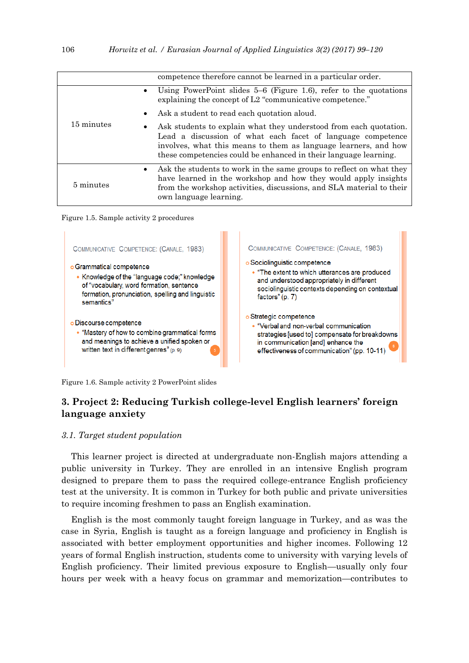|            | competence therefore cannot be learned in a particular order.                                                                                                                                                                                                                        |
|------------|--------------------------------------------------------------------------------------------------------------------------------------------------------------------------------------------------------------------------------------------------------------------------------------|
| 15 minutes | Using PowerPoint slides $5-6$ (Figure 1.6), refer to the quotations<br>explaining the concept of L2 "communicative competence."                                                                                                                                                      |
|            | Ask a student to read each quotation aloud.<br>$\bullet$                                                                                                                                                                                                                             |
|            | Ask students to explain what they understood from each quotation.<br>$\bullet$<br>Lead a discussion of what each facet of language competence<br>involves, what this means to them as language learners, and how<br>these competencies could be enhanced in their language learning. |
| 5 minutes  | Ask the students to work in the same groups to reflect on what they<br>$\bullet$<br>have learned in the workshop and how they would apply insights<br>from the workshop activities, discussions, and SLA material to their<br>own language learning.                                 |





Figure 1.6. Sample activity 2 PowerPoint slides

# **3. Project 2: Reducing Turkish college-level English learners' foreign language anxiety**

#### *3.1. Target student population*

This learner project is directed at undergraduate non-English majors attending a public university in Turkey. They are enrolled in an intensive English program designed to prepare them to pass the required college-entrance English proficiency test at the university. It is common in Turkey for both public and private universities to require incoming freshmen to pass an English examination.

English is the most commonly taught foreign language in Turkey, and as was the case in Syria, English is taught as a foreign language and proficiency in English is associated with better employment opportunities and higher incomes. Following 12 years of formal English instruction, students come to university with varying levels of English proficiency. Their limited previous exposure to English—usually only four hours per week with a heavy focus on grammar and memorization—contributes to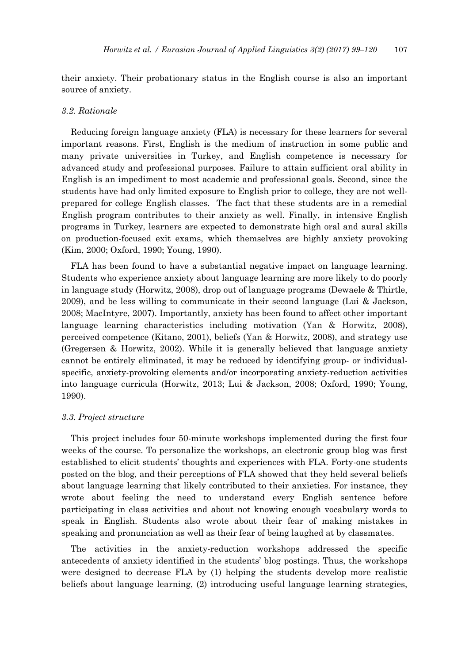their anxiety. Their probationary status in the English course is also an important source of anxiety.

#### *3.2. Rationale*

Reducing foreign language anxiety (FLA) is necessary for these learners for several important reasons. First, English is the medium of instruction in some public and many private universities in Turkey, and English competence is necessary for advanced study and professional purposes. Failure to attain sufficient oral ability in English is an impediment to most academic and professional goals. Second, since the students have had only limited exposure to English prior to college, they are not wellprepared for college English classes. The fact that these students are in a remedial English program contributes to their anxiety as well. Finally, in intensive English programs in Turkey, learners are expected to demonstrate high oral and aural skills on production-focused exit exams, which themselves are highly anxiety provoking (Kim, 2000; Oxford, 1990; Young, 1990).

FLA has been found to have a substantial negative impact on language learning. Students who experience anxiety about language learning are more likely to do poorly in language study (Horwitz, 2008), drop out of language programs (Dewaele & Thirtle, 2009), and be less willing to communicate in their second language (Lui & Jackson, 2008; MacIntyre, 2007). Importantly, anxiety has been found to affect other important language learning characteristics including motivation (Yan & Horwitz, 2008), perceived competence (Kitano, 2001), beliefs (Yan & Horwitz, 2008), and strategy use (Gregersen & Horwitz, 2002). While it is generally believed that language anxiety cannot be entirely eliminated, it may be reduced by identifying group- or individualspecific, anxiety-provoking elements and/or incorporating anxiety-reduction activities into language curricula (Horwitz, 2013; Lui & Jackson, 2008; Oxford, 1990; Young, 1990).

#### *3.3. Project structure*

This project includes four 50-minute workshops implemented during the first four weeks of the course. To personalize the workshops, an electronic group blog was first established to elicit students' thoughts and experiences with FLA. Forty-one students posted on the blog, and their perceptions of FLA showed that they held several beliefs about language learning that likely contributed to their anxieties. For instance, they wrote about feeling the need to understand every English sentence before participating in class activities and about not knowing enough vocabulary words to speak in English. Students also wrote about their fear of making mistakes in speaking and pronunciation as well as their fear of being laughed at by classmates.

The activities in the anxiety-reduction workshops addressed the specific antecedents of anxiety identified in the students' blog postings. Thus, the workshops were designed to decrease FLA by (1) helping the students develop more realistic beliefs about language learning, (2) introducing useful language learning strategies,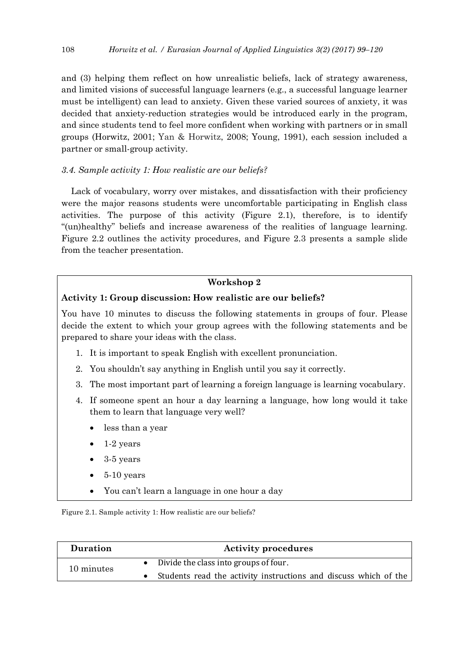and (3) helping them reflect on how unrealistic beliefs, lack of strategy awareness, and limited visions of successful language learners (e.g., a successful language learner must be intelligent) can lead to anxiety. Given these varied sources of anxiety, it was decided that anxiety-reduction strategies would be introduced early in the program, and since students tend to feel more confident when working with partners or in small groups (Horwitz, 2001; Yan & Horwitz, 2008; Young, 1991), each session included a partner or small-group activity.

## *3.4. Sample activity 1: How realistic are our beliefs?*

Lack of vocabulary, worry over mistakes, and dissatisfaction with their proficiency were the major reasons students were uncomfortable participating in English class activities. The purpose of this activity (Figure 2.1), therefore, is to identify ―(un)healthy‖ beliefs and increase awareness of the realities of language learning. Figure 2.2 outlines the activity procedures, and Figure 2.3 presents a sample slide from the teacher presentation.

## **Workshop 2**

## **Activity 1: Group discussion: How realistic are our beliefs?**

You have 10 minutes to discuss the following statements in groups of four. Please decide the extent to which your group agrees with the following statements and be prepared to share your ideas with the class.

- 1. It is important to speak English with excellent pronunciation.
- 2. You shouldn't say anything in English until you say it correctly.
- 3. The most important part of learning a foreign language is learning vocabulary.
- 4. If someone spent an hour a day learning a language, how long would it take them to learn that language very well?
	- less than a year
	- 1-2 years
	- 3-5 years
	- 5-10 years
	- You can't learn a language in one hour a day

Figure 2.1. Sample activity 1: How realistic are our beliefs?

| Duration   | <b>Activity procedures</b>                                       |
|------------|------------------------------------------------------------------|
| 10 minutes | • Divide the class into groups of four.                          |
|            | Students read the activity instructions and discuss which of the |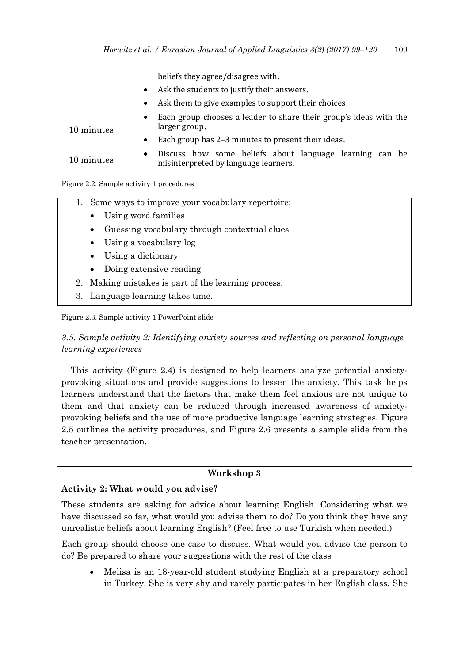|            | beliefs they agree/disagree with.                                                                            |
|------------|--------------------------------------------------------------------------------------------------------------|
|            | Ask the students to justify their answers.<br>$\bullet$                                                      |
|            | Ask them to give examples to support their choices.<br>$\bullet$                                             |
| 10 minutes | Each group chooses a leader to share their group's ideas with the<br>$\bullet$<br>larger group.              |
|            | Each group has 2-3 minutes to present their ideas.                                                           |
| 10 minutes | Discuss how some beliefs about language learning can be<br>$\bullet$<br>misinterpreted by language learners. |

Figure 2.2. Sample activity 1 procedures

|  |  | 1. Some ways to improve your vocabulary repertoire: |  |  |
|--|--|-----------------------------------------------------|--|--|
|--|--|-----------------------------------------------------|--|--|

- Using word families
- Guessing vocabulary through contextual clues
- Using a vocabulary log
- Using a dictionary
- Doing extensive reading
- 2. Making mistakes is part of the learning process.
- 3. Language learning takes time.

Figure 2.3. Sample activity 1 PowerPoint slide

*3.5. Sample activity 2: Identifying anxiety sources and reflecting on personal language learning experiences* 

This activity (Figure 2.4) is designed to help learners analyze potential anxietyprovoking situations and provide suggestions to lessen the anxiety. This task helps learners understand that the factors that make them feel anxious are not unique to them and that anxiety can be reduced through increased awareness of anxietyprovoking beliefs and the use of more productive language learning strategies. Figure 2.5 outlines the activity procedures, and Figure 2.6 presents a sample slide from the teacher presentation.

# **Workshop 3**

## **Activity 2: What would you advise?**

These students are asking for advice about learning English. Considering what we have discussed so far, what would you advise them to do? Do you think they have any unrealistic beliefs about learning English? (Feel free to use Turkish when needed.)

Each group should choose one case to discuss. What would you advise the person to do? Be prepared to share your suggestions with the rest of the class.

 Melisa is an 18-year-old student studying English at a preparatory school in Turkey. She is very shy and rarely participates in her English class. She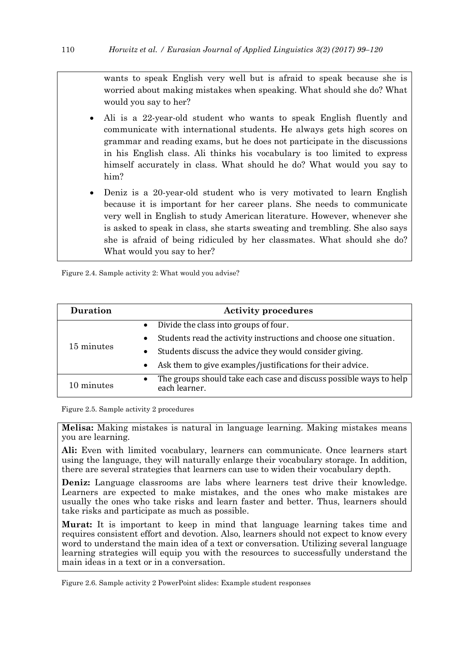wants to speak English very well but is afraid to speak because she is worried about making mistakes when speaking. What should she do? What would you say to her?

- Ali is a 22-year-old student who wants to speak English fluently and communicate with international students. He always gets high scores on grammar and reading exams, but he does not participate in the discussions in his English class. Ali thinks his vocabulary is too limited to express himself accurately in class. What should he do? What would you say to him?
- Deniz is a 20-year-old student who is very motivated to learn English because it is important for her career plans. She needs to communicate very well in English to study American literature. However, whenever she is asked to speak in class, she starts sweating and trembling. She also says she is afraid of being ridiculed by her classmates. What should she do? What would you say to her?

Figure 2.4. Sample activity 2: What would you advise?

| <b>Duration</b> | <b>Activity procedures</b>                                                                       |
|-----------------|--------------------------------------------------------------------------------------------------|
| 15 minutes      | Divide the class into groups of four.<br>$\bullet$                                               |
|                 | Students read the activity instructions and choose one situation.<br>$\bullet$                   |
|                 | Students discuss the advice they would consider giving.<br>$\bullet$                             |
|                 | Ask them to give examples/justifications for their advice.<br>$\bullet$                          |
| 10 minutes      | The groups should take each case and discuss possible ways to help<br>$\bullet$<br>each learner. |

Figure 2.5. Sample activity 2 procedures

**Melisa:** Making mistakes is natural in language learning. Making mistakes means you are learning.

**Ali:** Even with limited vocabulary, learners can communicate. Once learners start using the language, they will naturally enlarge their vocabulary storage. In addition, there are several strategies that learners can use to widen their vocabulary depth.

**Deniz:** Language classrooms are labs where learners test drive their knowledge. Learners are expected to make mistakes, and the ones who make mistakes are usually the ones who take risks and learn faster and better. Thus, learners should take risks and participate as much as possible.

**Murat:** It is important to keep in mind that language learning takes time and requires consistent effort and devotion. Also, learners should not expect to know every word to understand the main idea of a text or conversation. Utilizing several language learning strategies will equip you with the resources to successfully understand the main ideas in a text or in a conversation.

Figure 2.6. Sample activity 2 PowerPoint slides: Example student responses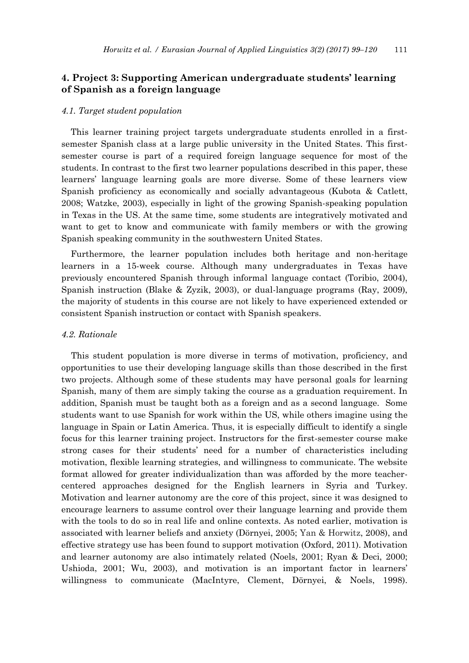# **4. Project 3: Supporting American undergraduate students' learning of Spanish as a foreign language**

#### *4.1. Target student population*

This learner training project targets undergraduate students enrolled in a firstsemester Spanish class at a large public university in the United States. This firstsemester course is part of a required foreign language sequence for most of the students. In contrast to the first two learner populations described in this paper, these learners' language learning goals are more diverse. Some of these learners view Spanish proficiency as economically and socially advantageous (Kubota & Catlett, 2008; Watzke, 2003), especially in light of the growing Spanish-speaking population in Texas in the US. At the same time, some students are integratively motivated and want to get to know and communicate with family members or with the growing Spanish speaking community in the southwestern United States.

Furthermore, the learner population includes both heritage and non-heritage learners in a 15-week course. Although many undergraduates in Texas have previously encountered Spanish through informal language contact (Toribio, 2004), Spanish instruction (Blake & Zyzik, 2003), or dual-language programs (Ray, 2009), the majority of students in this course are not likely to have experienced extended or consistent Spanish instruction or contact with Spanish speakers.

#### *4.2. Rationale*

This student population is more diverse in terms of motivation, proficiency, and opportunities to use their developing language skills than those described in the first two projects. Although some of these students may have personal goals for learning Spanish, many of them are simply taking the course as a graduation requirement. In addition, Spanish must be taught both as a foreign and as a second language. Some students want to use Spanish for work within the US, while others imagine using the language in Spain or Latin America. Thus, it is especially difficult to identify a single focus for this learner training project. Instructors for the first-semester course make strong cases for their students' need for a number of characteristics including motivation, flexible learning strategies, and willingness to communicate. The website format allowed for greater individualization than was afforded by the more teachercentered approaches designed for the English learners in Syria and Turkey. Motivation and learner autonomy are the core of this project, since it was designed to encourage learners to assume control over their language learning and provide them with the tools to do so in real life and online contexts. As noted earlier, motivation is associated with learner beliefs and anxiety (Dörnyei, 2005; Yan & Horwitz, 2008), and effective strategy use has been found to support motivation (Oxford, 2011). Motivation and learner autonomy are also intimately related (Noels, 2001; Ryan & Deci, 2000; Ushioda, 2001; Wu, 2003), and motivation is an important factor in learners' willingness to communicate (MacIntyre, Clement, Dörnyei, & Noels, 1998).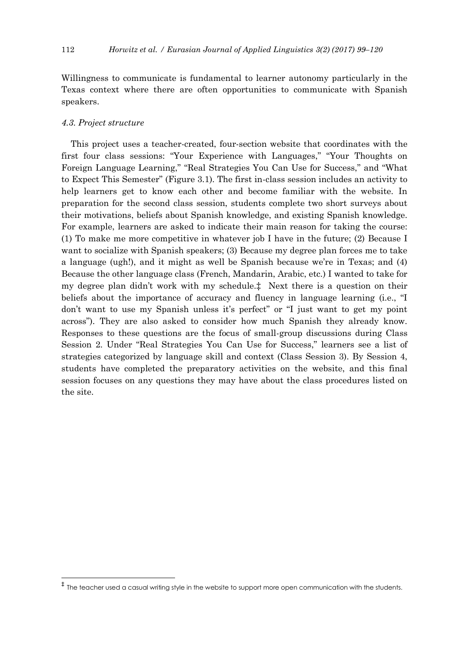Willingness to communicate is fundamental to learner autonomy particularly in the Texas context where there are often opportunities to communicate with Spanish speakers.

#### *4.3. Project structure*

-

This project uses a teacher-created, four-section website that coordinates with the first four class sessions: "Your Experience with Languages," "Your Thoughts on Foreign Language Learning," "Real Strategies You Can Use for Success," and "What to Expect This Semester" (Figure 3.1). The first in-class session includes an activity to help learners get to know each other and become familiar with the website. In preparation for the second class session, students complete two short surveys about their motivations, beliefs about Spanish knowledge, and existing Spanish knowledge. For example, learners are asked to indicate their main reason for taking the course: (1) To make me more competitive in whatever job I have in the future; (2) Because I want to socialize with Spanish speakers; (3) Because my degree plan forces me to take a language (ugh!), and it might as well be Spanish because we're in Texas; and (4) Because the other language class (French, Mandarin, Arabic, etc.) I wanted to take for my degree plan didn't work with my schedule.‡ Next there is a question on their beliefs about the importance of accuracy and fluency in language learning (i.e., "I don't want to use my Spanish unless it's perfect" or "I just want to get my point across‖). They are also asked to consider how much Spanish they already know. Responses to these questions are the focus of small-group discussions during Class Session 2. Under "Real Strategies You Can Use for Success," learners see a list of strategies categorized by language skill and context (Class Session 3). By Session 4, students have completed the preparatory activities on the website, and this final session focuses on any questions they may have about the class procedures listed on the site.

<sup>‡</sup> The teacher used a casual writing style in the website to support more open communication with the students.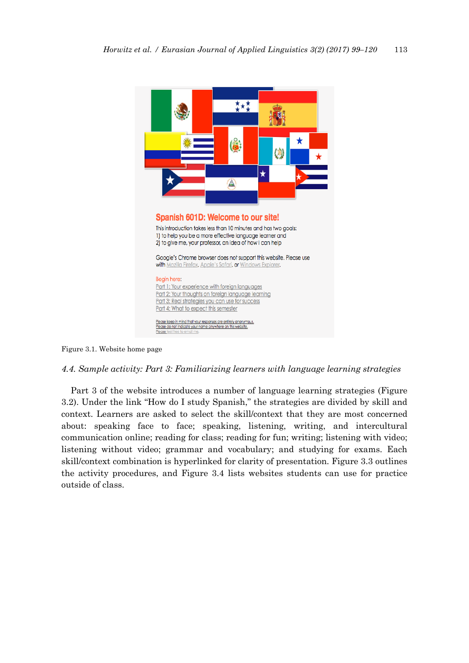

Figure 3.1. Website home page

## *4.4. Sample activity: Part 3: Familiarizing learners with language learning strategies*

Part 3 of the website introduces a number of language learning strategies (Figure 3.2). Under the link "How do I study Spanish," the strategies are divided by skill and context. Learners are asked to select the skill/context that they are most concerned about: speaking face to face; speaking, listening, writing, and intercultural communication online; reading for class; reading for fun; writing; listening with video; listening without video; grammar and vocabulary; and studying for exams. Each skill/context combination is hyperlinked for clarity of presentation. Figure 3.3 outlines the activity procedures, and Figure 3.4 lists websites students can use for practice outside of class.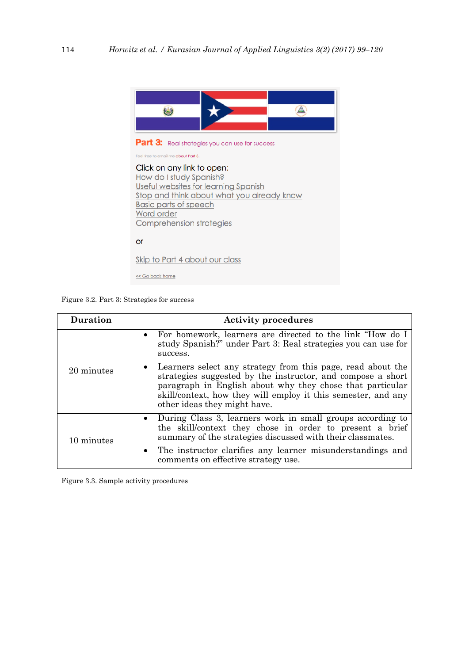

Figure 3.2. Part 3: Strategies for success

| <b>Duration</b> | <b>Activity procedures</b>                                                                                                                                                                                                                                                                            |
|-----------------|-------------------------------------------------------------------------------------------------------------------------------------------------------------------------------------------------------------------------------------------------------------------------------------------------------|
| 20 minutes      | • For homework, learners are directed to the link "How do I<br>study Spanish?" under Part 3: Real strategies you can use for<br>success.                                                                                                                                                              |
|                 | Learners select any strategy from this page, read about the<br>$\bullet$<br>strategies suggested by the instructor, and compose a short<br>paragraph in English about why they chose that particular<br>skill/context, how they will employ it this semester, and any<br>other ideas they might have. |
| 10 minutes      | During Class 3, learners work in small groups according to<br>$\bullet$<br>the skill/context they chose in order to present a brief<br>summary of the strategies discussed with their classmates.                                                                                                     |
|                 | • The instructor clarifies any learner misunderstandings and<br>comments on effective strategy use.                                                                                                                                                                                                   |

Figure 3.3. Sample activity procedures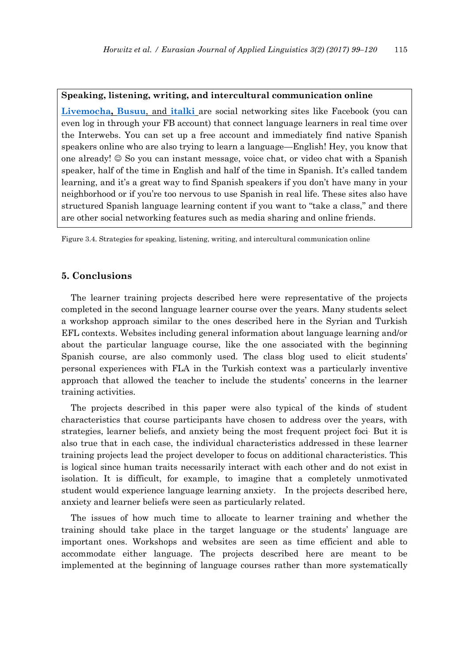#### **Speaking, listening, writing, and intercultural communication online**

**[Livemocha,](http://www.livemocha.com/) [Busuu](http://www.busuu.com/enc)**, and **[italki](http://www.italki.com/)** are social networking sites like Facebook (you can even log in through your FB account) that connect language learners in real time over the Interwebs. You can set up a free account and immediately find native Spanish speakers online who are also trying to learn a language—English! Hey, you know that one already!  $\odot$  So you can instant message, voice chat, or video chat with a Spanish speaker, half of the time in English and half of the time in Spanish. It's called tandem learning, and it's a great way to find Spanish speakers if you don't have many in your neighborhood or if you're too nervous to use Spanish in real life. These sites also have structured Spanish language learning content if you want to "take a class," and there are other social networking features such as media sharing and online friends.

Figure 3.4. Strategies for speaking, listening, writing, and intercultural communication online

## **5. Conclusions**

The learner training projects described here were representative of the projects completed in the second language learner course over the years. Many students select a workshop approach similar to the ones described here in the Syrian and Turkish EFL contexts. Websites including general information about language learning and/or about the particular language course, like the one associated with the beginning Spanish course, are also commonly used. The class blog used to elicit students' personal experiences with FLA in the Turkish context was a particularly inventive approach that allowed the teacher to include the students' concerns in the learner training activities.

The projects described in this paper were also typical of the kinds of student characteristics that course participants have chosen to address over the years, with strategies, learner beliefs, and anxiety being the most frequent project foci. But it is also true that in each case, the individual characteristics addressed in these learner training projects lead the project developer to focus on additional characteristics. This is logical since human traits necessarily interact with each other and do not exist in isolation. It is difficult, for example, to imagine that a completely unmotivated student would experience language learning anxiety. In the projects described here, anxiety and learner beliefs were seen as particularly related.

The issues of how much time to allocate to learner training and whether the training should take place in the target language or the students' language are important ones. Workshops and websites are seen as time efficient and able to accommodate either language. The projects described here are meant to be implemented at the beginning of language courses rather than more systematically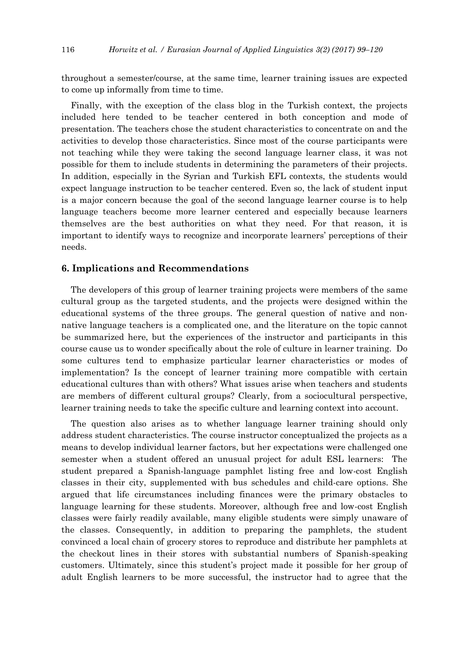throughout a semester/course, at the same time, learner training issues are expected to come up informally from time to time.

Finally, with the exception of the class blog in the Turkish context, the projects included here tended to be teacher centered in both conception and mode of presentation. The teachers chose the student characteristics to concentrate on and the activities to develop those characteristics. Since most of the course participants were not teaching while they were taking the second language learner class, it was not possible for them to include students in determining the parameters of their projects. In addition, especially in the Syrian and Turkish EFL contexts, the students would expect language instruction to be teacher centered. Even so, the lack of student input is a major concern because the goal of the second language learner course is to help language teachers become more learner centered and especially because learners themselves are the best authorities on what they need. For that reason, it is important to identify ways to recognize and incorporate learners' perceptions of their needs.

#### **6. Implications and Recommendations**

The developers of this group of learner training projects were members of the same cultural group as the targeted students, and the projects were designed within the educational systems of the three groups. The general question of native and nonnative language teachers is a complicated one, and the literature on the topic cannot be summarized here, but the experiences of the instructor and participants in this course cause us to wonder specifically about the role of culture in learner training. Do some cultures tend to emphasize particular learner characteristics or modes of implementation? Is the concept of learner training more compatible with certain educational cultures than with others? What issues arise when teachers and students are members of different cultural groups? Clearly, from a sociocultural perspective, learner training needs to take the specific culture and learning context into account.

The question also arises as to whether language learner training should only address student characteristics. The course instructor conceptualized the projects as a means to develop individual learner factors, but her expectations were challenged one semester when a student offered an unusual project for adult ESL learners: The student prepared a Spanish-language pamphlet listing free and low-cost English classes in their city, supplemented with bus schedules and child-care options. She argued that life circumstances including finances were the primary obstacles to language learning for these students. Moreover, although free and low-cost English classes were fairly readily available, many eligible students were simply unaware of the classes. Consequently, in addition to preparing the pamphlets, the student convinced a local chain of grocery stores to reproduce and distribute her pamphlets at the checkout lines in their stores with substantial numbers of Spanish-speaking customers. Ultimately, since this student's project made it possible for her group of adult English learners to be more successful, the instructor had to agree that the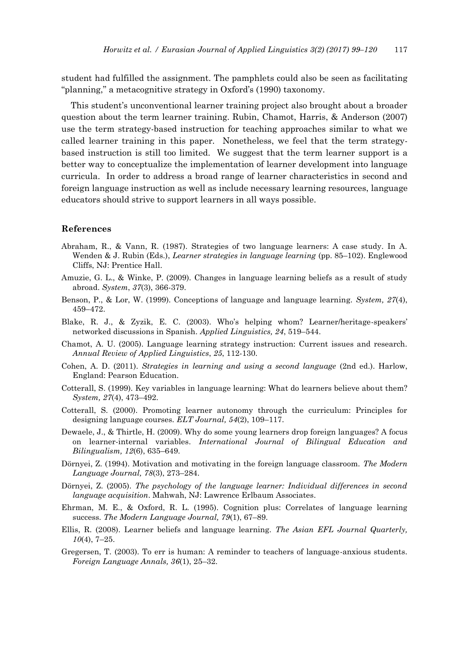student had fulfilled the assignment. The pamphlets could also be seen as facilitating ―planning,‖ a metacognitive strategy in Oxford's (1990) taxonomy.

This student's unconventional learner training project also brought about a broader question about the term learner training. Rubin, Chamot, Harris, & Anderson (2007) use the term strategy-based instruction for teaching approaches similar to what we called learner training in this paper. Nonetheless, we feel that the term strategybased instruction is still too limited. We suggest that the term learner support is a better way to conceptualize the implementation of learner development into language curricula. In order to address a broad range of learner characteristics in second and foreign language instruction as well as include necessary learning resources, language educators should strive to support learners in all ways possible.

#### **References**

- Abraham, R., & Vann, R. (1987). Strategies of two language learners: A case study. In A. Wenden & J. Rubin (Eds.), *Learner strategies in language learning* (pp. 85–102). Englewood Cliffs, NJ: Prentice Hall.
- Amuzie, G. L., & Winke, P. (2009). Changes in language learning beliefs as a result of study abroad. *System*, *37*(3), 366-379.
- Benson, P., & Lor, W. (1999). Conceptions of language and language learning. *System, 27*(4), 459–472.
- Blake, R. J., & Zyzik, E. C. (2003). Who's helping whom? Learner/heritage-speakers' networked discussions in Spanish. *Applied Linguistics, 24*, 519–544.
- Chamot, A. U. (2005). Language learning strategy instruction: Current issues and research. *Annual Review of Applied Linguistics*, *25*, 112-130.
- Cohen, A. D. (2011). *Strategies in learning and using a second language* (2nd ed.). Harlow, England: Pearson Education.
- Cotterall, S. (1999). Key variables in language learning: What do learners believe about them? *System, 27*(4), 473–492.
- Cotterall, S. (2000). Promoting learner autonomy through the curriculum: Principles for designing language courses. *ELT Journal, 54*(2), 109–117.
- Dewaele, J., & Thirtle, H. (2009). Why do some young learners drop foreign languages? A focus on learner-internal variables. *International Journal of Bilingual Education and Bilingualism, 12*(6), 635–649.
- Dörnyei, Z. (1994). Motivation and motivating in the foreign language classroom. *The Modern Language Journal, 78*(3), 273–284.
- Dörnyei, Z. (2005). *The psychology of the language learner: Individual differences in second language acquisition*. Mahwah, NJ: Lawrence Erlbaum Associates.
- Ehrman, M. E., & Oxford, R. L. (1995). Cognition plus: Correlates of language learning success. *The Modern Language Journal, 79*(1), 67–89.
- Ellis, R. (2008). Learner beliefs and language learning. *The Asian EFL Journal Quarterly, 10*(4), 7–25.
- Gregersen, T. (2003). To err is human: A reminder to teachers of language-anxious students. *Foreign Language Annals, 36*(1), 25–32.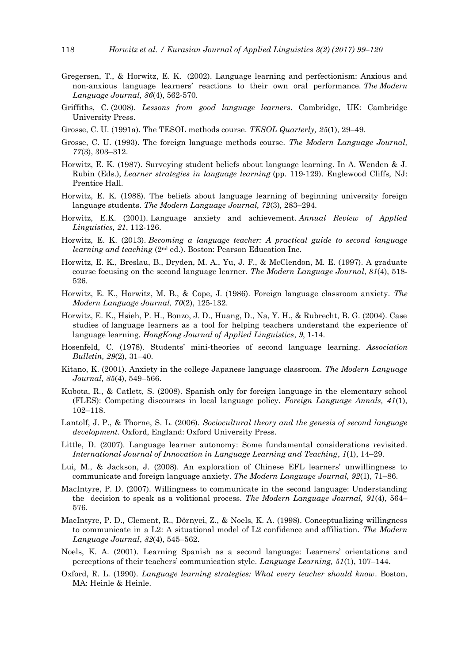- Gregersen, T., & Horwitz, E. K. (2002). Language learning and perfectionism: Anxious and non-anxious language learners' reactions to their own oral performance. *The Modern Language Journal, 86*(4), 562-570.
- Griffiths, C. (2008). *Lessons from good language learners*. Cambridge, UK: Cambridge University Press.
- Grosse, C. U. (1991a). The TESOL methods course. *TESOL Quarterly, 25*(1), 29–49.
- Grosse, C. U. (1993). The foreign language methods course. *The Modern Language Journal, 77*(3), 303–312.
- Horwitz, E. K. (1987). Surveying student beliefs about language learning. In A. Wenden & J. Rubin (Eds.), *Learner strategies in language learning* (pp. 119-129). Englewood Cliffs, NJ: Prentice Hall.
- Horwitz, E. K. (1988). The beliefs about language learning of beginning university foreign language students. *The Modern Language Journal, 72*(3)*,* 283–294.
- Horwitz, E.K. (2001). Language anxiety and achievement. *Annual Review of Applied Linguistics, 21*, 112-126.
- Horwitz, E. K. (2013). *Becoming a language teacher: A practical guide to second language learning and teaching* (2nd ed.). Boston: Pearson Education Inc.
- Horwitz, E. K., Breslau, B., Dryden, M. A., Yu, J. F., & McClendon, M. E. (1997). A graduate course focusing on the second language learner. *The Modern Language Journal*, *81*(4), 518- 526.
- Horwitz, E. K., Horwitz, M. B., & Cope, J. (1986). Foreign language classroom anxiety. *The Modern Language Journal, 70*(2), 125-132.
- Horwitz, E. K., Hsieh, P. H., Bonzo, J. D., Huang, D., Na, Y. H., & Rubrecht, B. G. (2004). Case studies of language learners as a tool for helping teachers understand the experience of language learning. *HongKong Journal of Applied Linguistics*, *9*, 1-14.
- Hosenfeld, C. (1978). Students' mini-theories of second language learning*. Association Bulletin, 29*(2), 31–40.
- Kitano, K. (2001). Anxiety in the college Japanese language classroom. *The Modern Language Journal, 85*(4), 549–566.
- Kubota, R., & Catlett, S. (2008). Spanish only for foreign language in the elementary school (FLES): Competing discourses in local language policy. *Foreign Language Annals, 41*(1), 102–118.
- Lantolf, J. P., & Thorne, S. L. (2006). *Sociocultural theory and the genesis of second language development*. Oxford, England: Oxford University Press.
- Little, D. (2007). Language learner autonomy: Some fundamental considerations revisited. *International Journal of Innovation in Language Learning and Teaching*, *1*(1), 14–29.
- Lui, M., & Jackson, J. (2008). An exploration of Chinese EFL learners' unwillingness to communicate and foreign language anxiety. *The Modern Language Journal, 92*(1), 71–86.
- MacIntyre, P. D. (2007). Willingness to communicate in the second language: Understanding the decision to speak as a volitional process. *The Modern Language Journal, 91*(4), 564– 576.
- MacIntyre, P. D., Clement, R., Dörnyei, Z., & Noels, K. A. (1998). Conceptualizing willingness to communicate in a L2: A situational model of L2 confidence and affiliation. *The Modern Language Journal*, *82*(4), 545–562.
- Noels, K. A. (2001). Learning Spanish as a second language: Learners' orientations and perceptions of their teachers' communication style. *Language Learning, 51*(1), 107–144.
- Oxford, R. L. (1990). *Language learning strategies: What every teacher should know*. Boston, MA: Heinle & Heinle.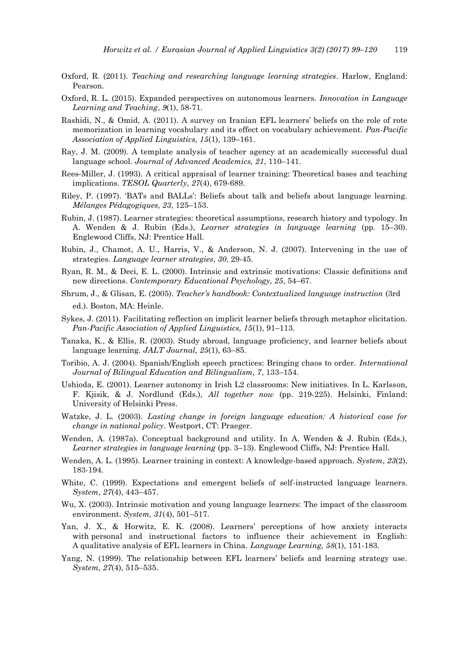- Oxford, R. (2011). *Teaching and researching language learning strategies*. Harlow, England: Pearson.
- Oxford, R. L. (2015). Expanded perspectives on autonomous learners. *Innovation in Language Learning and Teaching*, *9*(1), 58-71.
- Rashidi, N., & Omid, A. (2011). A survey on Iranian EFL learners' beliefs on the role of rote memorization in learning vocabulary and its effect on vocabulary achievement. *Pan-Pacific Association of Applied Linguistics, 15*(1), 139–161.
- Ray, J. M. (2009). A template analysis of teacher agency at an academically successful dual language school. *Journal of Advanced Academics, 21*, 110–141.
- Rees‐Miller, J. (1993). A critical appraisal of learner training: Theoretical bases and teaching implications. *TESOL Quarterly*, *27*(4), 679-689.
- Riley, P. (1997). ‗BATs and BALLs': Beliefs about talk and beliefs about language learning. *Mélanges Pédagogiques, 23*, 125–153.
- Rubin, J. (1987). Learner strategies: theoretical assumptions, research history and typology. In A. Wenden & J. Rubin (Eds.), *Learner strategies in language learning* (pp. 15–30). Englewood Cliffs, NJ: Prentice Hall.
- Rubin, J., Chamot, A. U., Harris, V., & Anderson, N. J. (2007). Intervening in the use of strategies. *Language learner strategies*, *30*, 29-45.
- Ryan, R. M., & Deci, E. L. (2000). Intrinsic and extrinsic motivations: Classic definitions and new directions. *Contemporary Educational Psychology, 25*, 54–67.
- Shrum, J., & Glisan, E. (2005). *Teacher's handbook: Contextualized language instruction* (3rd ed.). Boston, MA: Heinle.
- Sykes, J. (2011). Facilitating reflection on implicit learner beliefs through metaphor elicitation. *Pan-Pacific Association of Applied Linguistics, 15*(1), 91–113.
- Tanaka, K., & Ellis, R. (2003). Study abroad, language proficiency, and learner beliefs about language learning. *JALT Journal, 25*(1), 63–85.
- Toribio, A. J. (2004). Spanish/English speech practices: Bringing chaos to order. *International Journal of Bilingual Education and Bilingualism, 7*, 133–154.
- Ushioda, E. (2001). Learner autonomy in Irish L2 classrooms: New initiatives. In L. Karlsson, F. Kjisik, & J. Nordlund (Eds.), *All together now* (pp. 219-225). Helsinki, Finland: University of Helsinki Press.
- Watzke, J. L. (2003). *Lasting change in foreign language education: A historical case for change in national policy*. Westport, CT: Praeger.
- Wenden, A. (1987a). Conceptual background and utility. In A. Wenden & J. Rubin (Eds.), *Learner strategies in language learning* (pp. 3–13). Englewood Cliffs, NJ: Prentice Hall.
- Wenden, A. L. (1995). Learner training in context: A knowledge-based approach. *System*, *23*(2), 183-194.
- White, C. (1999). Expectations and emergent beliefs of self-instructed language learners. *System, 27*(4), 443–457.
- Wu, X. (2003). Intrinsic motivation and young language learners: The impact of the classroom environment. *System, 31*(4), 501–517.
- Yan, J. X., & Horwitz, E. K. (2008). Learners' perceptions of how anxiety interacts with personal and instructional factors to influence their achievement in English: A qualitative analysis of EFL learners in China. *Language Learning, 58*(1), 151-183.
- Yang, N. (1999). The relationship between EFL learners' beliefs and learning strategy use. *System, 27*(4), 515–535.